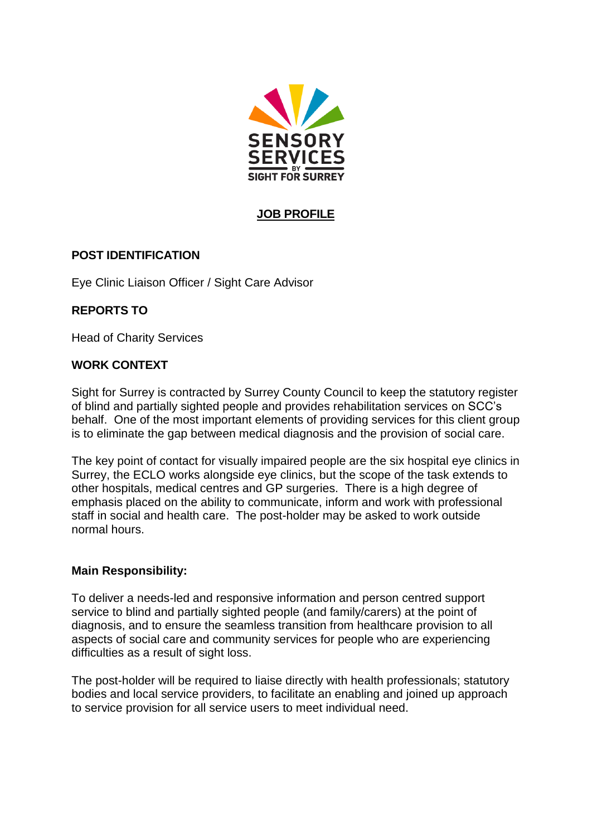

# **JOB PROFILE**

# **POST IDENTIFICATION**

Eye Clinic Liaison Officer / Sight Care Advisor

# **REPORTS TO**

Head of Charity Services

#### **WORK CONTEXT**

Sight for Surrey is contracted by Surrey County Council to keep the statutory register of blind and partially sighted people and provides rehabilitation services on SCC's behalf. One of the most important elements of providing services for this client group is to eliminate the gap between medical diagnosis and the provision of social care.

The key point of contact for visually impaired people are the six hospital eye clinics in Surrey, the ECLO works alongside eye clinics, but the scope of the task extends to other hospitals, medical centres and GP surgeries. There is a high degree of emphasis placed on the ability to communicate, inform and work with professional staff in social and health care. The post-holder may be asked to work outside normal hours.

#### **Main Responsibility:**

To deliver a needs-led and responsive information and person centred support service to blind and partially sighted people (and family/carers) at the point of diagnosis, and to ensure the seamless transition from healthcare provision to all aspects of social care and community services for people who are experiencing difficulties as a result of sight loss.

The post-holder will be required to liaise directly with health professionals; statutory bodies and local service providers, to facilitate an enabling and joined up approach to service provision for all service users to meet individual need.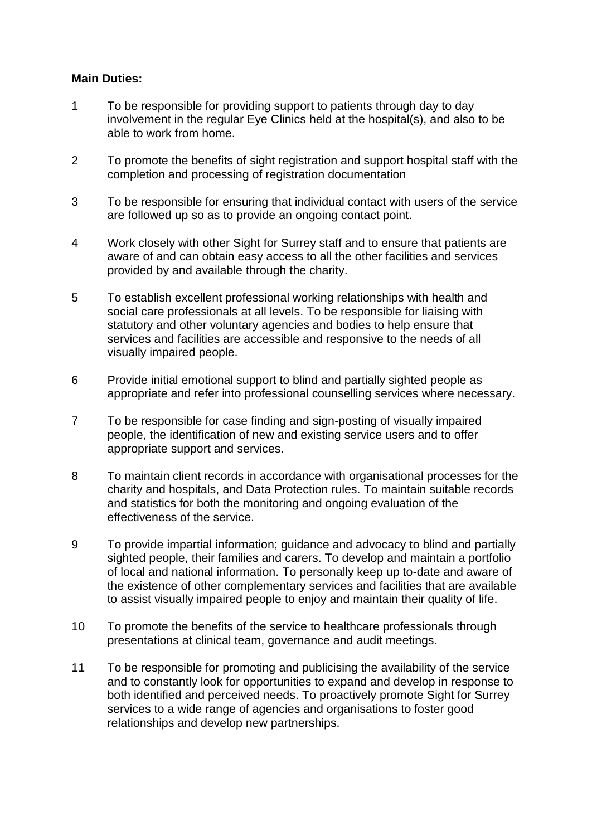### **Main Duties:**

- 1 To be responsible for providing support to patients through day to day involvement in the regular Eye Clinics held at the hospital(s), and also to be able to work from home.
- 2 To promote the benefits of sight registration and support hospital staff with the completion and processing of registration documentation
- 3 To be responsible for ensuring that individual contact with users of the service are followed up so as to provide an ongoing contact point.
- 4 Work closely with other Sight for Surrey staff and to ensure that patients are aware of and can obtain easy access to all the other facilities and services provided by and available through the charity.
- 5 To establish excellent professional working relationships with health and social care professionals at all levels. To be responsible for liaising with statutory and other voluntary agencies and bodies to help ensure that services and facilities are accessible and responsive to the needs of all visually impaired people.
- 6 Provide initial emotional support to blind and partially sighted people as appropriate and refer into professional counselling services where necessary.
- 7 To be responsible for case finding and sign-posting of visually impaired people, the identification of new and existing service users and to offer appropriate support and services.
- 8 To maintain client records in accordance with organisational processes for the charity and hospitals, and Data Protection rules. To maintain suitable records and statistics for both the monitoring and ongoing evaluation of the effectiveness of the service.
- 9 To provide impartial information; guidance and advocacy to blind and partially sighted people, their families and carers. To develop and maintain a portfolio of local and national information. To personally keep up to-date and aware of the existence of other complementary services and facilities that are available to assist visually impaired people to enjoy and maintain their quality of life.
- 10 To promote the benefits of the service to healthcare professionals through presentations at clinical team, governance and audit meetings.
- 11 To be responsible for promoting and publicising the availability of the service and to constantly look for opportunities to expand and develop in response to both identified and perceived needs. To proactively promote Sight for Surrey services to a wide range of agencies and organisations to foster good relationships and develop new partnerships.